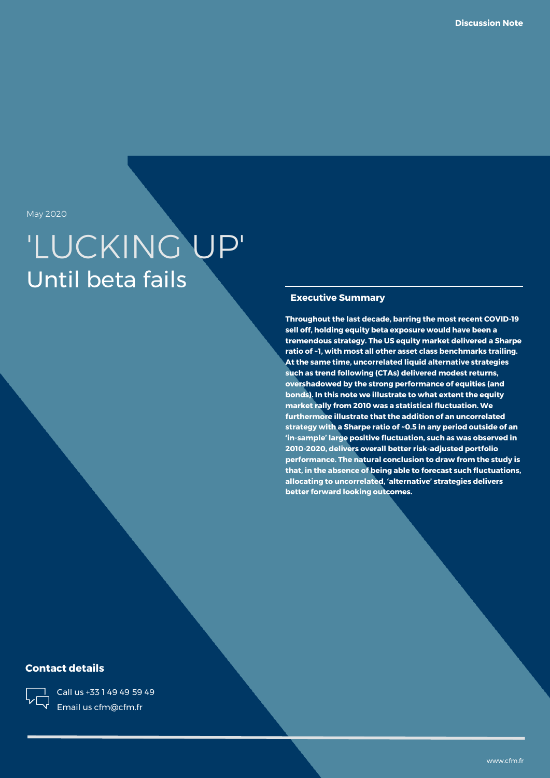May 2020

# 'LUCKING UP' Until beta fails

#### **Executive Summary**

**Throughout the last decade, barring the most recent COVID-19 sell off, holding equity beta exposure would have been a tremendous strategy. The US equity market delivered a Sharpe ratio of ~1, with most all other asset class benchmarks trailing. At the same time, uncorrelated liquid alternative strategies such as trend following (CTAs) delivered modest returns, overshadowed by the strong performance of equities (and bonds). In this note we illustrate to what extent the equity market rally from 2010 was a statistical fluctuation. We furthermore illustrate that the addition of an uncorrelated strategy with a Sharpe ratio of ~0.5 in any period outside of an 'in-sample' large positive fluctuation, such as was observed in 2010-2020, delivers overall better risk-adjusted portfolio performance. The natural conclusion to draw from the study is that, in the absence of being able to forecast such fluctuations, allocating to uncorrelated, 'alternative' strategies delivers better forward looking outcomes.**

### **Contact details**



Call us +33 1 49 49 59 49 Email us cfm@cfm.fr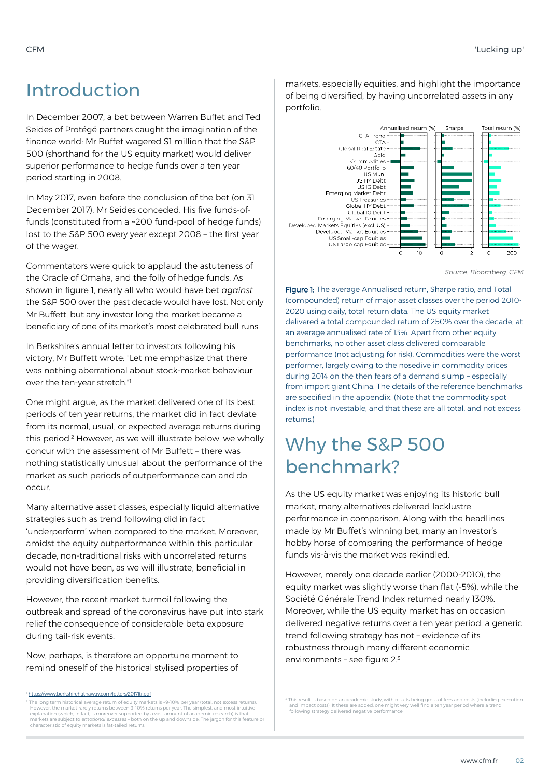### Introduction

In December 2007, a bet between Warren Buffet and Ted Seides of Protégé partners caught the imagination of the finance world: Mr Buffet wagered \$1 million that the S&P 500 (shorthand for the US equity market) would deliver superior performance to hedge funds over a ten year period starting in 2008.

In May 2017, even before the conclusion of the bet (on 31 December 2017), Mr Seides conceded. His five funds-offunds (constituted from a ~200 fund-pool of hedge funds) lost to the S&P 500 every year except 2008 – the first year of the wager.

Commentators were quick to applaud the astuteness of the Oracle of Omaha, and the folly of hedge funds. As shown in figure 1, nearly all who would have bet *against* the S&P 500 over the past decade would have lost. Not only Mr Buffett, but any investor long the market became a beneficiary of one of its market's most celebrated bull runs.

In Berkshire's annual letter to investors following his victory, Mr Buffett wrote: "Let me emphasize that there was nothing aberrational about stock-market behaviour over the ten-year stretch."<sup>1</sup>

One might argue, as the market delivered one of its best periods of ten year returns, the market did in fact deviate from its normal, usual, or expected average returns during this period.<sup>2</sup> However, as we will illustrate below, we wholly concur with the assessment of Mr Buffett – there was nothing statistically unusual about the performance of the market as such periods of outperformance can and do occur.

Many alternative asset classes, especially liquid alternative strategies such as trend following did in fact 'underperform' when compared to the market. Moreover, amidst the equity outperformance within this particular decade, non-traditional risks with uncorrelated returns would not have been, as we will illustrate, beneficial in providing diversification benefits.

However, the recent market turmoil following the outbreak and spread of the coronavirus have put into stark relief the consequence of considerable beta exposure during tail-risk events.

Now, perhaps, is therefore an opportune moment to remind oneself of the historical stylised properties of

://www.berkshirehathaway.com/letters/2017ltr.pdf

markets, especially equities, and highlight the importance of being diversified, by having uncorrelated assets in any portfolio.



*Source: Bloomberg, CFM*

Figure 1: The average Annualised return, Sharpe ratio, and Total (compounded) return of major asset classes over the period 2010- 2020 using daily, total return data. The US equity market delivered a total compounded return of 250% over the decade, at an average annualised rate of 13%. Apart from other equity benchmarks, no other asset class delivered comparable performance (not adjusting for risk). Commodities were the worst performer, largely owing to the nosedive in commodity prices during 2014 on the then fears of a demand slump – especially from import giant China. The details of the reference benchmarks are specified in the appendix. (Note that the commodity spot index is not investable, and that these are all total, and not excess returns.)

## Why the S&P 500 benchmark?

As the US equity market was enjoying its historic bull market, many alternatives delivered lacklustre performance in comparison. Along with the headlines made by Mr Buffet's winning bet, many an investor's hobby horse of comparing the performance of hedge funds vis-à-vis the market was rekindled.

However, merely one decade earlier (2000-2010), the equity market was slightly worse than flat (-5%), while the Société Générale Trend Index returned nearly 130%. Moreover, while the US equity market has on occasion delivered negative returns over a ten year period, a generic trend following strategy has not – evidence of its robustness through many different economic environments – see figure 2. 3

<sup>3</sup> This result is based on an academic study, with results being gross of fees and costs (including execution<br>and impact costs). It these are added, one might very well find a ten year period where a trend<br>following strat

The long term historical average return of equity markets is -9-10% per year (total, not excess returns).<br>However, the market rarely returns between 9-10% returns per year. The simplest, and most intuitive<br>explanation (whi markets are subject to *emotional excesses* – both on the up and downside. The jargon for this feature or characteristic of equity markets is fat-tailed returns.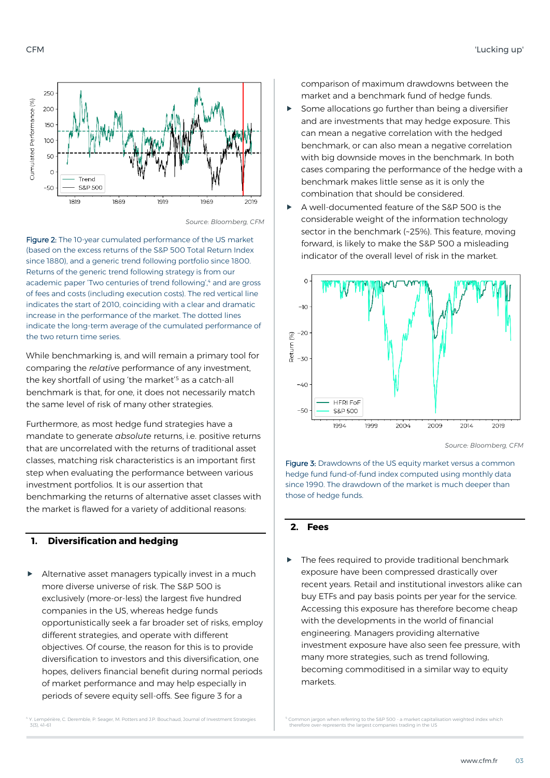



*Source: Bloomberg, CFM*

Figure 2: The 10-year cumulated performance of the US market (based on the excess returns of the S&P 500 Total Return Index since 1880), and a generic trend following portfolio since 1800. Returns of the generic trend following strategy is from our academic paper 'Two centuries of trend following', 4 and are gross of fees and costs (including execution costs). The red vertical line indicates the start of 2010, coinciding with a clear and dramatic increase in the performance of the market. The dotted lines indicate the long-term average of the cumulated performance of the two return time series.

While benchmarking is, and will remain a primary tool for comparing the *relative* performance of any investment, the key shortfall of using 'the market'<sup>5</sup> as a catch-all benchmark is that, for one, it does not necessarily match the same level of risk of many other strategies.

Furthermore, as most hedge fund strategies have a mandate to generate *absolute* returns, i.e. positive returns that are uncorrelated with the returns of traditional asset classes, matching risk characteristics is an important first step when evaluating the performance between various investment portfolios. It is our assertion that benchmarking the returns of alternative asset classes with the market is flawed for a variety of additional reasons:

#### **1. Diversification and hedging**

Alternative asset managers typically invest in a much more diverse universe of risk. The S&P 500 is exclusively (more-or-less) the largest five hundred companies in the US, whereas hedge funds opportunistically seek a far broader set of risks, employ different strategies, and operate with different objectives. Of course, the reason for this is to provide diversification to investors and this diversification, one hopes, delivers financial benefit during normal periods of market performance and may help especially in periods of severe equity sell-offs. See figure 3 for a

comparison of maximum drawdowns between the market and a benchmark fund of hedge funds.

- Some allocations go further than being a diversifier and are investments that may hedge exposure. This can mean a negative correlation with the hedged benchmark, or can also mean a negative correlation with big downside moves in the benchmark. In both cases comparing the performance of the hedge with a benchmark makes little sense as it is only the combination that should be considered.
- A well-documented feature of the S&P 500 is the considerable weight of the information technology sector in the benchmark (~25%). This feature, moving forward, is likely to make the S&P 500 a misleading indicator of the overall level of risk in the market.



*Source: Bloomberg, CFM*

Figure 3: Drawdowns of the US equity market versus a common hedge fund fund-of-fund index computed using monthly data since 1990. The drawdown of the market is much deeper than those of hedge funds.

#### **2. Fees**

 The fees required to provide traditional benchmark exposure have been compressed drastically over recent years. Retail and institutional investors alike can buy ETFs and pay basis points per year for the service. Accessing this exposure has therefore become cheap with the developments in the world of financial engineering. Managers providing alternative investment exposure have also seen fee pressure, with many more strategies, such as trend following, becoming commoditised in a similar way to equity markets.

<sup>4</sup> Y. Lempérière, C. Deremble, P. Seager, M. Potters and J.P. Bouchaud, Journal of Investment Strategies 3(3), 41–61

 $5$  Common jargon when referring to the S&P 500 - a market capitalisation weighted index which therefore over-represents the largest companies trading in the US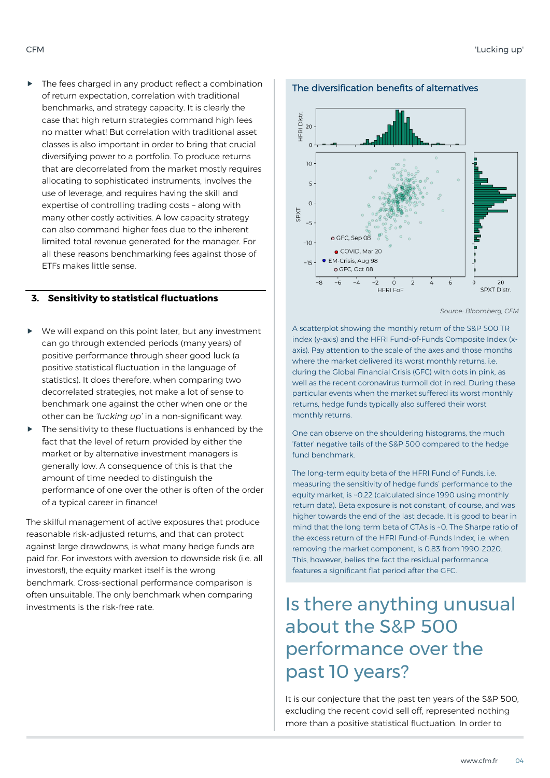$\blacktriangleright$  The fees charged in any product reflect a combination of return expectation, correlation with traditional benchmarks, and strategy capacity. It is clearly the case that high return strategies command high fees no matter what! But correlation with traditional asset classes is also important in order to bring that crucial diversifying power to a portfolio. To produce returns that are decorrelated from the market mostly requires allocating to sophisticated instruments, involves the use of leverage, and requires having the skill and expertise of controlling trading costs – along with many other costly activities. A low capacity strategy can also command higher fees due to the inherent limited total revenue generated for the manager. For all these reasons benchmarking fees against those of ETFs makes little sense.

#### **3. Sensitivity to statistical fluctuations**

- We will expand on this point later, but any investment can go through extended periods (many years) of positive performance through sheer good luck (a positive statistical fluctuation in the language of statistics). It does therefore, when comparing two decorrelated strategies, not make a lot of sense to benchmark one against the other when one or the other can be *'lucking up'* in a non-significant way.
- The sensitivity to these fluctuations is enhanced by the fact that the level of return provided by either the market or by alternative investment managers is generally low. A consequence of this is that the amount of time needed to distinguish the performance of one over the other is often of the order of a typical career in finance!

The skilful management of active exposures that produce reasonable risk-adjusted returns, and that can protect against large drawdowns, is what many hedge funds are paid for. For investors with aversion to downside risk (i.e. all investors!), the equity market itself is the wrong benchmark. Cross-sectional performance comparison is often unsuitable. The only benchmark when comparing investments is the risk-free rate.



*Source: Bloomberg, CFM*

A scatterplot showing the monthly return of the S&P 500 TR index (y-axis) and the HFRI Fund-of-Funds Composite Index (xaxis). Pay attention to the scale of the axes and those months where the market delivered its worst monthly returns, i.e. during the Global Financial Crisis (GFC) with dots in pink, as well as the recent coronavirus turmoil dot in red. During these particular events when the market suffered its worst monthly returns, hedge funds typically also suffered their worst monthly returns.

One can observe on the shouldering histograms, the much 'fatter' negative tails of the S&P 500 compared to the hedge fund benchmark.

The long-term equity beta of the HFRI Fund of Funds, i.e. measuring the sensitivity of hedge funds' performance to the equity market, is ~0.22 (calculated since 1990 using monthly return data). Beta exposure is not constant, of course, and was higher towards the end of the last decade. It is good to bear in mind that the long term beta of CTAs is ~0. The Sharpe ratio of the excess return of the HFRI Fund-of-Funds Index, i.e. when removing the market component, is 0.83 from 1990-2020. This, however, belies the fact the residual performance features a significant flat period after the GFC.

# about the S&P 500 performance over the past 10 years?

It is our conjecture that the past ten years of the S&P 500, excluding the recent covid sell off, represented nothing more than a positive statistical fluctuation. In order to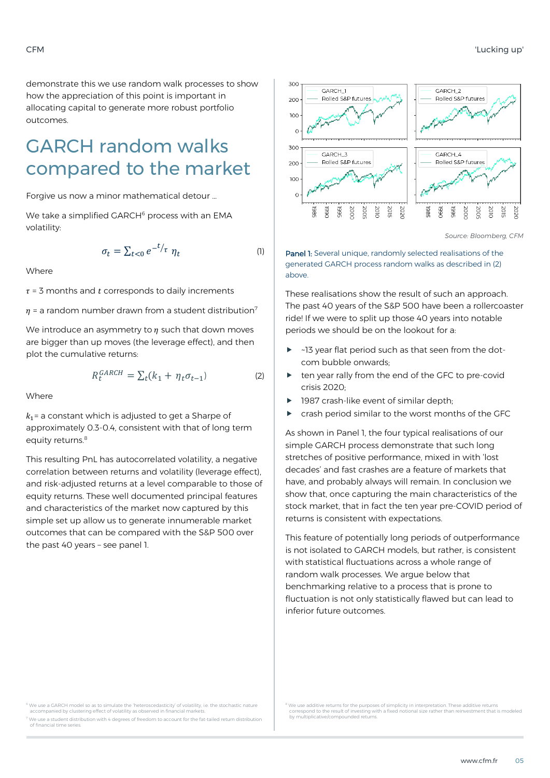demonstrate this we use random walk processes to show how the appreciation of this point is important in allocating capital to generate more robust portfolio outcomes.

## GARCH random walks compared to the market

Forgive us now a minor mathematical detour …

We take a simplified GARCH<sup>6</sup> process with an EMA volatility:

$$
\sigma_t = \sum_{t < 0} e^{-t/\tau} \eta_t \tag{1}
$$

**Where** 

 $\tau$  = 3 months and  $t$  corresponds to daily increments

 $\eta$  = a random number drawn from a student distribution<sup>7</sup>

We introduce an asymmetry to  $\eta$  such that down moves are bigger than up moves (the leverage effect), and then plot the cumulative returns:

$$
R_t^{GARCH} = \sum_t (k_1 + \eta_t \sigma_{t-1})
$$
 (2)

**Where** 

 $k_1$ = a constant which is adjusted to get a Sharpe of approximately 0.3-0.4, consistent with that of long term equity returns.<sup>8</sup>

This resulting PnL has autocorrelated volatility, a negative correlation between returns and volatility (leverage effect), and risk-adjusted returns at a level comparable to those of equity returns. These well documented principal features and characteristics of the market now captured by this simple set up allow us to generate innumerable market outcomes that can be compared with the S&P 500 over the past 40 years – see panel 1.



*Source: Bloomberg, CFM*

Panel 1: Several unique, randomly selected realisations of the generated GARCH process random walks as described in (2) above.

These realisations show the result of such an approach. The past 40 years of the S&P 500 have been a rollercoaster ride! If we were to split up those 40 years into notable periods we should be on the lookout for a:

- ~13 year flat period such as that seen from the dotcom bubble onwards;
- ten year rally from the end of the GFC to pre-covid crisis 2020;
- 1987 crash-like event of similar depth;
- crash period similar to the worst months of the GFC

As shown in Panel 1, the four typical realisations of our simple GARCH process demonstrate that such long stretches of positive performance, mixed in with 'lost decades' and fast crashes are a feature of markets that have, and probably always will remain. In conclusion we show that, once capturing the main characteristics of the stock market, that in fact the ten year pre-COVID period of returns is consistent with expectations.

This feature of potentially long periods of outperformance is not isolated to GARCH models, but rather, is consistent with statistical fluctuations across a whole range of random walk processes. We argue below that benchmarking relative to a process that is prone to fluctuation is not only statistically flawed but can lead to inferior future outcomes.

.<br>6 We use a sto simulate the 'heteroscedasticity' of volatility, i.e. the stochastic nature with the stochastic accompanied by clustering effect of volatility as observed in financial markets.

We use a student distribution with 4 degrees of freedom to account for the fat-tailed return distribution of financial time series.

 $8$  We use additive returns for the purposes of simplicity in interpretation. These additive returns correspond to the result of investing with a fixed notional size rather than reinvestment that is modeled by multiplicative/compounded return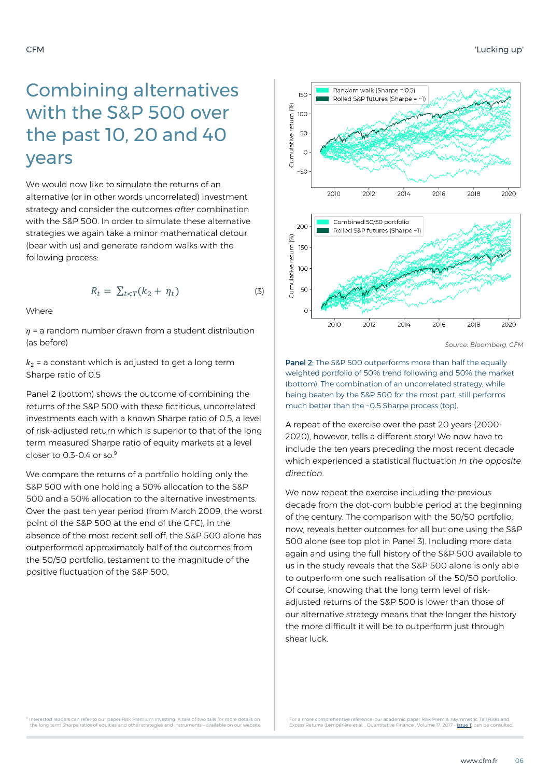## Combining alternatives with the S&P 500 over the past 10, 20 and 40 years

We would now like to simulate the returns of an alternative (or in other words uncorrelated) investment strategy and consider the outcomes *after* combination with the S&P 500. In order to simulate these alternative strategies we again take a minor mathematical detour (bear with us) and generate random walks with the following process:

$$
R_t = \sum_{t < T} (k_2 + \eta_t) \tag{3}
$$

Where

 $\eta$  = a random number drawn from a student distribution (as before)

 $k<sub>2</sub>$  = a constant which is adjusted to get a long term Sharpe ratio of 0.5

Panel 2 (bottom) shows the outcome of combining the returns of the S&P 500 with these fictitious, uncorrelated investments each with a known Sharpe ratio of 0.5, a level of risk-adjusted return which is superior to that of the long term measured Sharpe ratio of equity markets at a level closer to  $0.3 - 0.4$  or so.<sup>9</sup>

We compare the returns of a portfolio holding only the S&P 500 with one holding a 50% allocation to the S&P 500 and a 50% allocation to the alternative investments. Over the past ten year period (from March 2009, the worst point of the S&P 500 at the end of the GFC), in the absence of the most recent sell off, the S&P 500 alone has outperformed approximately half of the outcomes from the 50/50 portfolio, testament to the magnitude of the positive fluctuation of the S&P 500.



*Source: Bloomberg, CFM*

Panel 2: The S&P 500 outperforms more than half the equally weighted portfolio of 50% trend following and 50% the market (bottom). The combination of an uncorrelated strategy, while being beaten by the S&P 500 for the most part, still performs much better than the ~0.5 Sharpe process (top).

A repeat of the exercise over the past 20 years (2000- 2020), however, tells a different story! We now have to include the ten years preceding the most recent decade which experienced a statistical fluctuation *in the opposite direction*.

We now repeat the exercise including the previous decade from the dot-com bubble period at the beginning of the century. The comparison with the 50/50 portfolio, now, reveals better outcomes for all but one using the S&P 500 alone (see top plot in Panel 3). Including more data again and using the full history of the S&P 500 available to us in the study reveals that the S&P 500 alone is only able to outperform one such realisation of the 50/50 portfolio. Of course, knowing that the long term level of riskadjusted returns of the S&P 500 is lower than those of our alternative strategy means that the longer the history the more difficult it will be to outperform just through shear luck.

Interested readers can refer to our paper Risk Premium Investing: A tale of two tails for more details on the long term Sharpe ratios of equities and other strategies and instruments – available on our website.

For a more comprehensive reference, our academic paper Risk Premia: Asymmetric Tail Risks and<br>Excess Returns (Lempérière et al. , Quantitative Finance , Volume 17, 2017 - <u>Issue 1</u>) can be consulted.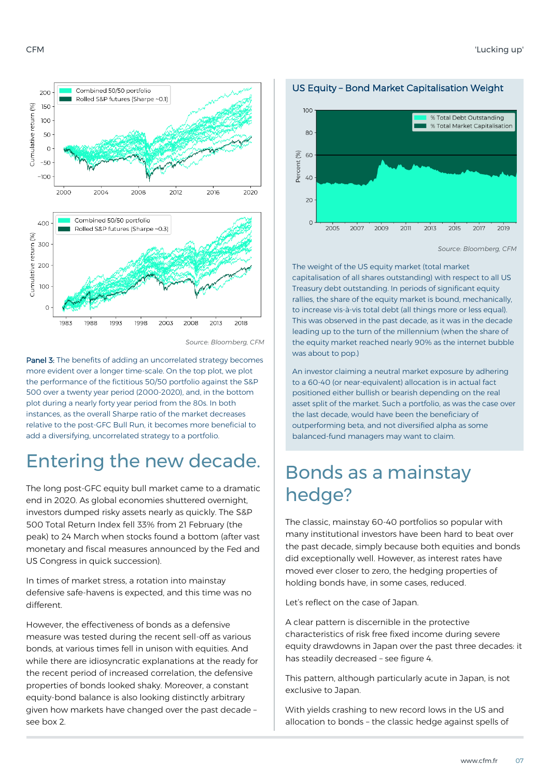

#### *Source: Bloomberg, CFM*

Panel 3: The benefits of adding an uncorrelated strategy becomes more evident over a longer time-scale. On the top plot, we plot the performance of the fictitious 50/50 portfolio against the S&P 500 over a twenty year period (2000-2020), and, in the bottom plot during a nearly forty year period from the 80s. In both instances, as the overall Sharpe ratio of the market decreases relative to the post-GFC Bull Run, it becomes more beneficial to add a diversifying, uncorrelated strategy to a portfolio.

### Entering the new decade.

The long post-GFC equity bull market came to a dramatic end in 2020. As global economies shuttered overnight, investors dumped risky assets nearly as quickly. The S&P 500 Total Return Index fell 33% from 21 February (the peak) to 24 March when stocks found a bottom (after vast monetary and fiscal measures announced by the Fed and US Congress in quick succession).

In times of market stress, a rotation into mainstay defensive safe-havens is expected, and this time was no different.

However, the effectiveness of bonds as a defensive measure was tested during the recent sell-off as various bonds, at various times fell in unison with equities. And while there are idiosyncratic explanations at the ready for the recent period of increased correlation, the defensive properties of bonds looked shaky. Moreover, a constant equity-bond balance is also looking distinctly arbitrary given how markets have changed over the past decade – see box 2.



US Equity – Bond Market Capitalisation Weight

The weight of the US equity market (total market capitalisation of all shares outstanding) with respect to all US Treasury debt outstanding. In periods of significant equity rallies, the share of the equity market is bound, mechanically, to increase vis-à-vis total debt (all things more or less equal). This was observed in the past decade, as it was in the decade leading up to the turn of the millennium (when the share of the equity market reached nearly 90% as the internet bubble was about to pop.)

An investor claiming a neutral market exposure by adhering to a 60-40 (or near-equivalent) allocation is in actual fact positioned either bullish or bearish depending on the real asset split of the market. Such a portfolio, as was the case over the last decade, would have been the beneficiary of outperforming beta, and not diversified alpha as some balanced-fund managers may want to claim.

### Bonds as a mainstay hedge?

The classic, mainstay 60-40 portfolios so popular with many institutional investors have been hard to beat over the past decade, simply because both equities and bonds did exceptionally well. However, as interest rates have moved ever closer to zero, the hedging properties of holding bonds have, in some cases, reduced.

Let's reflect on the case of Japan.

A clear pattern is discernible in the protective characteristics of risk free fixed income during severe equity drawdowns in Japan over the past three decades: it has steadily decreased – see figure 4.

This pattern, although particularly acute in Japan, is not exclusive to Japan.

With yields crashing to new record lows in the US and allocation to bonds – the classic hedge against spells of

*Source: Bloomberg, CFM*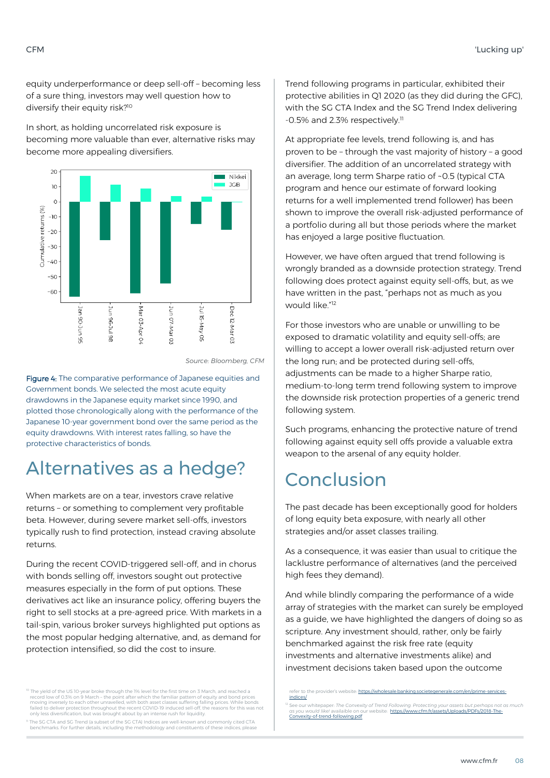equity underperformance or deep sell-off – becoming less of a sure thing, investors may well question how to diversify their equity risk?<sup>10</sup>

In short, as holding uncorrelated risk exposure is becoming more valuable than ever, alternative risks may become more appealing diversifiers.



*Source: Bloomberg, CFM*

Figure 4: The comparative performance of Japanese equities and Government bonds. We selected the most acute equity drawdowns in the Japanese equity market since 1990, and plotted those chronologically along with the performance of the Japanese 10-year government bond over the same period as the equity drawdowns. With interest rates falling, so have the protective characteristics of bonds.

### Alternatives as a hedge?

When markets are on a tear, investors crave relative returns – or something to complement very profitable beta. However, during severe market sell-offs, investors typically rush to find protection, instead craving absolute returns.

During the recent COVID-triggered sell-off, and in chorus with bonds selling off, investors sought out protective measures especially in the form of put options. These derivatives act like an insurance policy, offering buyers the right to sell stocks at a pre-agreed price. With markets in a tail-spin, various broker surveys highlighted put options as the most popular hedging alternative, and, as demand for protection intensified, so did the cost to insure.

<sup>10</sup> The yield of the US 10-year broke through the 1% level for the first time on 3 March, and reached a record low of 0.3% on 9 March - the point after which the familiar pattern of equity and bond prices<br>moving inversely to each other unravelled, with both asset classes suffering falling prices. While bonds<br>failed to delive only less diversification, but was brought about by an intense rush for liquidity.

<sup>11</sup> The SG CTA and SG Trend (a subset of the SG CTA) Indices are well-known and commonly cited CTA benchmarks. For further details, including the methodology and constituents of these indices, please

Trend following programs in particular, exhibited their protective abilities in Q1 2020 (as they did during the GFC), with the SG CTA Index and the SG Trend Index delivering -0.5% and 2.3% respectively.<sup>11</sup>

At appropriate fee levels, trend following is, and has proven to be – through the vast majority of history – a good diversifier. The addition of an uncorrelated strategy with an average, long term Sharpe ratio of ~0.5 (typical CTA program and hence our estimate of forward looking returns for a well implemented trend follower) has been shown to improve the overall risk-adjusted performance of a portfolio during all but those periods where the market has enjoyed a large positive fluctuation.

However, we have often argued that trend following is wrongly branded as a downside protection strategy. Trend following does protect against equity sell-offs, but, as we have written in the past, "perhaps not as much as you would like."<sup>12</sup>

For those investors who are unable or unwilling to be exposed to dramatic volatility and equity sell-offs; are willing to accept a lower overall risk-adjusted return over the long run; and be protected during sell-offs, adjustments can be made to a higher Sharpe ratio, medium-to-long term trend following system to improve the downside risk protection properties of a generic trend following system.

Such programs, enhancing the protective nature of trend following against equity sell offs provide a valuable extra weapon to the arsenal of any equity holder.

### Conclusion

The past decade has been exceptionally good for holders of long equity beta exposure, with nearly all other strategies and/or asset classes trailing.

As a consequence, it was easier than usual to critique the lacklustre performance of alternatives (and the perceived high fees they demand).

And while blindly comparing the performance of a wide array of strategies with the market can surely be employed as a guide, we have highlighted the dangers of doing so as scripture. Any investment should, rather, only be fairly benchmarked against the risk free rate (equity investments and alternative investments alike) and investment decisions taken based upon the outcome

refer to the provider's website: [https://wholesale.banking.societegenerale.com/en/prime-services](https://wholesale.banking.societegenerale.com/en/prime-services-indices/)[indices/](https://wholesale.banking.societegenerale.com/en/prime-services-indices/)

<sup>&</sup>lt;sup>12</sup> See our whitepaper: *The Convexity of Trend Following. Protecting your assets but perhaps not as much*<br>as you would like! availaible on our website: [https://www.cfm.fr/assets/Uploads/PDFs/2018-The-](https://www.cfm.fr/assets/Uploads/PDFs/2018-The-Convexity-of-trend-following.pdf)[Convexity-of-trend-following.pdf](https://www.cfm.fr/assets/Uploads/PDFs/2018-The-Convexity-of-trend-following.pdf)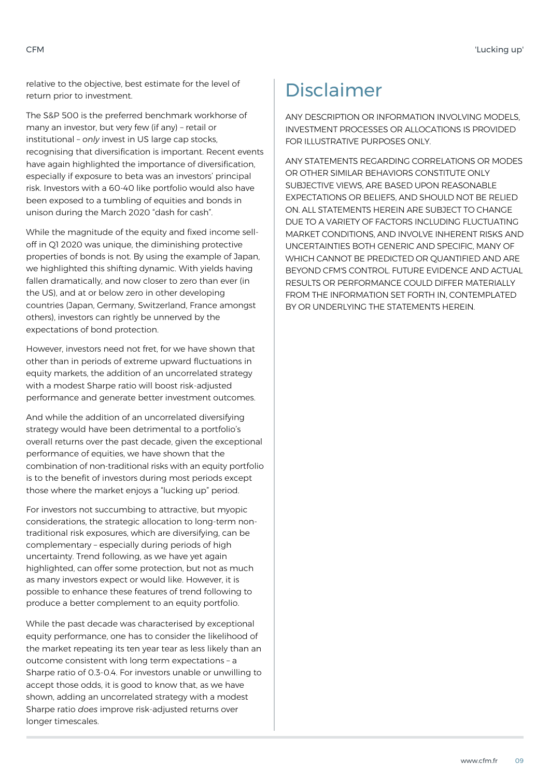relative to the objective, best estimate for the level of return prior to investment.

The S&P 500 is the preferred benchmark workhorse of many an investor, but very few (if any) – retail or institutional – *only* invest in US large cap stocks, recognising that diversification is important. Recent events have again highlighted the importance of diversification, especially if exposure to beta was an investors' principal risk. Investors with a 60-40 like portfolio would also have been exposed to a tumbling of equities and bonds in unison during the March 2020 "dash for cash".

While the magnitude of the equity and fixed income selloff in Q1 2020 was unique, the diminishing protective properties of bonds is not. By using the example of Japan, we highlighted this shifting dynamic. With yields having fallen dramatically, and now closer to zero than ever (in the US), and at or below zero in other developing countries (Japan, Germany, Switzerland, France amongst others), investors can rightly be unnerved by the expectations of bond protection.

However, investors need not fret, for we have shown that other than in periods of extreme upward fluctuations in equity markets, the addition of an uncorrelated strategy with a modest Sharpe ratio will boost risk-adjusted performance and generate better investment outcomes.

And while the addition of an uncorrelated diversifying strategy would have been detrimental to a portfolio's overall returns over the past decade, given the exceptional performance of equities, we have shown that the combination of non-traditional risks with an equity portfolio is to the benefit of investors during most periods except those where the market enjoys a "lucking up" period.

For investors not succumbing to attractive, but myopic considerations, the strategic allocation to long-term nontraditional risk exposures, which are diversifying, can be complementary – especially during periods of high uncertainty. Trend following, as we have yet again highlighted, can offer some protection, but not as much as many investors expect or would like. However, it is possible to enhance these features of trend following to produce a better complement to an equity portfolio.

While the past decade was characterised by exceptional equity performance, one has to consider the likelihood of the market repeating its ten year tear as less likely than an outcome consistent with long term expectations – a Sharpe ratio of 0.3-0.4. For investors unable or unwilling to accept those odds, it is good to know that, as we have shown, adding an uncorrelated strategy with a modest Sharpe ratio *does* improve risk-adjusted returns over longer timescales.

# Disclaimer

ANY DESCRIPTION OR INFORMATION INVOLVING MODELS, INVESTMENT PROCESSES OR ALLOCATIONS IS PROVIDED FOR ILLUSTRATIVE PURPOSES ONLY.

ANY STATEMENTS REGARDING CORRELATIONS OR MODES OR OTHER SIMILAR BEHAVIORS CONSTITUTE ONLY SUBJECTIVE VIEWS, ARE BASED UPON REASONABLE EXPECTATIONS OR BELIEFS, AND SHOULD NOT BE RELIED ON. ALL STATEMENTS HEREIN ARE SUBJECT TO CHANGE DUE TO A VARIETY OF FACTORS INCLUDING FLUCTUATING MARKET CONDITIONS, AND INVOLVE INHERENT RISKS AND UNCERTAINTIES BOTH GENERIC AND SPECIFIC, MANY OF WHICH CANNOT BE PREDICTED OR QUANTIFIED AND ARE BEYOND CFM'S CONTROL. FUTURE EVIDENCE AND ACTUAL RESULTS OR PERFORMANCE COULD DIFFER MATERIALLY FROM THE INFORMATION SET FORTH IN, CONTEMPLATED BY OR UNDERLYING THE STATEMENTS HEREIN.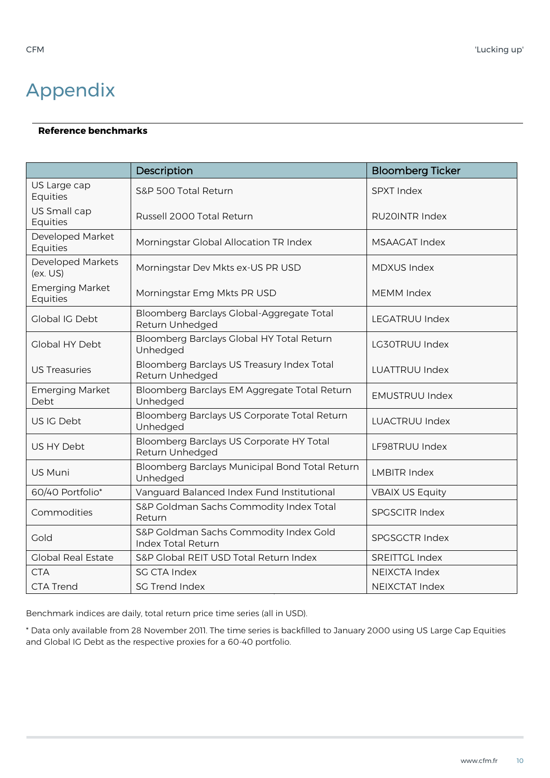# Appendix

#### **Reference benchmarks**

|                                      | Description                                                         | <b>Bloomberg Ticker</b> |
|--------------------------------------|---------------------------------------------------------------------|-------------------------|
| US Large cap<br>Equities             | S&P 500 Total Return                                                | <b>SPXT Index</b>       |
| US Small cap<br>Equities             | Russell 2000 Total Return                                           | <b>RU20INTR Index</b>   |
| Developed Market<br>Equities         | Morningstar Global Allocation TR Index                              | <b>MSAAGAT Index</b>    |
| <b>Developed Markets</b><br>(ex. US) | Morningstar Dev Mkts ex-US PR USD                                   | <b>MDXUS Index</b>      |
| <b>Emerging Market</b><br>Equities   | Morningstar Emg Mkts PR USD                                         | <b>MEMM Index</b>       |
| <b>Global IG Debt</b>                | Bloomberg Barclays Global-Aggregate Total<br>Return Unhedged        | <b>LEGATRUU Index</b>   |
| <b>Global HY Debt</b>                | Bloomberg Barclays Global HY Total Return<br>Unhedged               | LG30TRUU Index          |
| <b>US Treasuries</b>                 | Bloomberg Barclays US Treasury Index Total<br>Return Unhedged       | <b>LUATTRUU Index</b>   |
| <b>Emerging Market</b><br>Debt       | Bloomberg Barclays EM Aggregate Total Return<br>Unhedged            | <b>EMUSTRUU Index</b>   |
| US IG Debt                           | Bloomberg Barclays US Corporate Total Return<br>Unhedged            | <b>LUACTRUU Index</b>   |
| US HY Debt                           | Bloomberg Barclays US Corporate HY Total<br>Return Unhedged         | LF98TRUU Index          |
| US Muni                              | Bloomberg Barclays Municipal Bond Total Return<br>Unhedged          | <b>LMBITR Index</b>     |
| 60/40 Portfolio*                     | Vanguard Balanced Index Fund Institutional                          | <b>VBAIX US Equity</b>  |
| Commodities                          | S&P Goldman Sachs Commodity Index Total<br>Return                   | <b>SPGSCITR Index</b>   |
| Gold                                 | S&P Goldman Sachs Commodity Index Gold<br><b>Index Total Return</b> | <b>SPGSGCTR Index</b>   |
| <b>Global Real Estate</b>            | S&P Global REIT USD Total Return Index                              | <b>SREITTGL Index</b>   |
| <b>CTA</b>                           | <b>SG CTA Index</b>                                                 | <b>NEIXCTA Index</b>    |
| <b>CTA Trend</b>                     | <b>SG Trend Index</b>                                               | <b>NEIXCTAT Index</b>   |

Benchmark indices are daily, total return price time series (all in USD).

\* Data only available from 28 November 2011. The time series is backfilled to January 2000 using US Large Cap Equities and Global IG Debt as the respective proxies for a 60-40 portfolio.